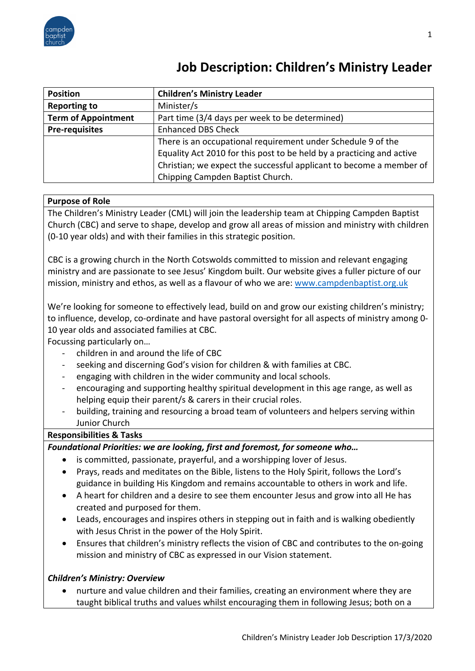

# **Job Description: Children's Ministry Leader**

| <b>Position</b>            | <b>Children's Ministry Leader</b>                                     |
|----------------------------|-----------------------------------------------------------------------|
| <b>Reporting to</b>        | Minister/s                                                            |
| <b>Term of Appointment</b> | Part time (3/4 days per week to be determined)                        |
| <b>Pre-requisites</b>      | <b>Enhanced DBS Check</b>                                             |
|                            | There is an occupational requirement under Schedule 9 of the          |
|                            | Equality Act 2010 for this post to be held by a practicing and active |
|                            | Christian; we expect the successful applicant to become a member of   |
|                            | Chipping Campden Baptist Church.                                      |

## **Purpose of Role**

The Children's Ministry Leader (CML) will join the leadership team at Chipping Campden Baptist Church (CBC) and serve to shape, develop and grow all areas of mission and ministry with children (0-10 year olds) and with their families in this strategic position.

CBC is a growing church in the North Cotswolds committed to mission and relevant engaging ministry and are passionate to see Jesus' Kingdom built. Our website gives a fuller picture of our mission, ministry and ethos, as well as a flavour of who we are: www.campdenbaptist.org.uk

We're looking for someone to effectively lead, build on and grow our existing children's ministry; to influence, develop, co-ordinate and have pastoral oversight for all aspects of ministry among 0- 10 year olds and associated families at CBC.

Focussing particularly on…

- children in and around the life of CBC
- seeking and discerning God's vision for children & with families at CBC.
- engaging with children in the wider community and local schools.
- encouraging and supporting healthy spiritual development in this age range, as well as helping equip their parent/s & carers in their crucial roles.
- building, training and resourcing a broad team of volunteers and helpers serving within Junior Church

### **Responsibilities & Tasks**

*Foundational Priorities: we are looking, first and foremost, for someone who…*

- is committed, passionate, prayerful, and a worshipping lover of Jesus.
- Prays, reads and meditates on the Bible, listens to the Holy Spirit, follows the Lord's guidance in building His Kingdom and remains accountable to others in work and life.
- A heart for children and a desire to see them encounter Jesus and grow into all He has created and purposed for them.
- Leads, encourages and inspires others in stepping out in faith and is walking obediently with Jesus Christ in the power of the Holy Spirit.
- Ensures that children's ministry reflects the vision of CBC and contributes to the on-going mission and ministry of CBC as expressed in our Vision statement.

## *Children's Ministry: Overview*

• nurture and value children and their families, creating an environment where they are taught biblical truths and values whilst encouraging them in following Jesus; both on a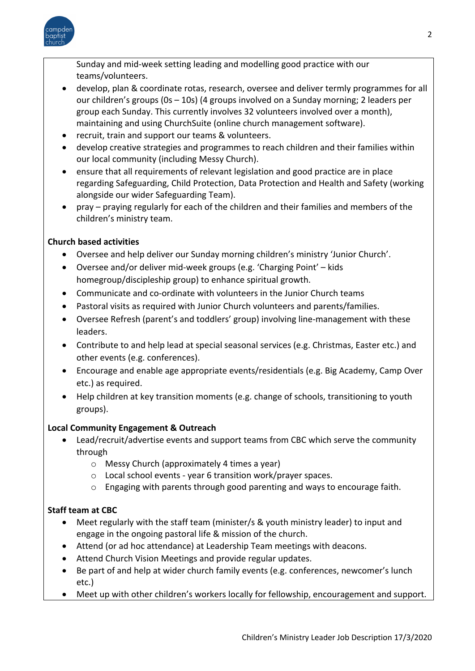

Sunday and mid-week setting leading and modelling good practice with our teams/volunteers.

- develop, plan & coordinate rotas, research, oversee and deliver termly programmes for all our children's groups (0s – 10s) (4 groups involved on a Sunday morning; 2 leaders per group each Sunday. This currently involves 32 volunteers involved over a month), maintaining and using ChurchSuite (online church management software).
- recruit, train and support our teams & volunteers.
- develop creative strategies and programmes to reach children and their families within our local community (including Messy Church).
- ensure that all requirements of relevant legislation and good practice are in place regarding Safeguarding, Child Protection, Data Protection and Health and Safety (working alongside our wider Safeguarding Team).
- pray praying regularly for each of the children and their families and members of the children's ministry team.

## **Church based activities**

- Oversee and help deliver our Sunday morning children's ministry 'Junior Church'.
- Oversee and/or deliver mid-week groups (e.g. 'Charging Point' kids homegroup/discipleship group) to enhance spiritual growth.
- Communicate and co-ordinate with volunteers in the Junior Church teams
- Pastoral visits as required with Junior Church volunteers and parents/families.
- Oversee Refresh (parent's and toddlers' group) involving line-management with these leaders.
- Contribute to and help lead at special seasonal services (e.g. Christmas, Easter etc.) and other events (e.g. conferences).
- Encourage and enable age appropriate events/residentials (e.g. Big Academy, Camp Over etc.) as required.
- Help children at key transition moments (e.g. change of schools, transitioning to youth groups).

## **Local Community Engagement & Outreach**

- Lead/recruit/advertise events and support teams from CBC which serve the community through
	- o Messy Church (approximately 4 times a year)
	- o Local school events year 6 transition work/prayer spaces.
	- o Engaging with parents through good parenting and ways to encourage faith.

## **Staff team at CBC**

- Meet regularly with the staff team (minister/s & youth ministry leader) to input and engage in the ongoing pastoral life & mission of the church.
- Attend (or ad hoc attendance) at Leadership Team meetings with deacons.
- Attend Church Vision Meetings and provide regular updates.
- Be part of and help at wider church family events (e.g. conferences, newcomer's lunch etc.)
- Meet up with other children's workers locally for fellowship, encouragement and support.